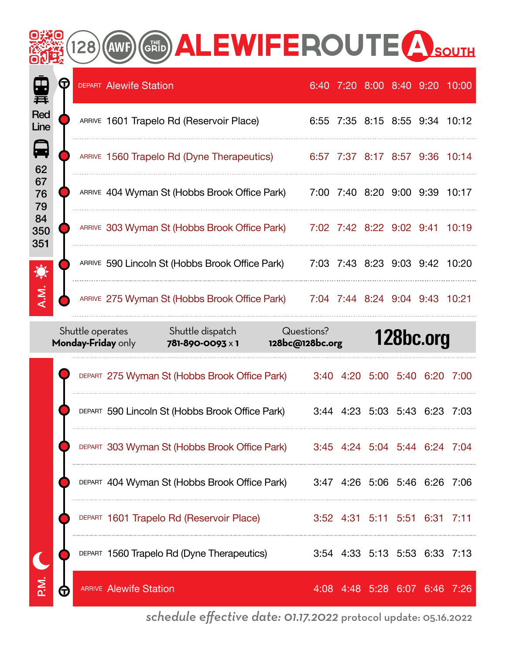

| 再                | o                                      |  | <b>DEPART Alewife Station</b> |                                                 |                               |                                |  |           |  |                                | 6:40 7:20 8:00 8:40 9:20 10:00 |
|------------------|----------------------------------------|--|-------------------------------|-------------------------------------------------|-------------------------------|--------------------------------|--|-----------|--|--------------------------------|--------------------------------|
| Red<br>Line      |                                        |  |                               | ARRIVE 1601 Trapelo Rd (Reservoir Place)        |                               |                                |  |           |  |                                | 6:55 7:35 8:15 8:55 9:34 10:12 |
| $\Box$<br>62     |                                        |  |                               | ARRIVE 1560 Trapelo Rd (Dyne Therapeutics)      |                               |                                |  |           |  |                                | 6:57 7:37 8:17 8:57 9:36 10:14 |
| 67<br>76<br>79   |                                        |  |                               | ARRIVE 404 Wyman St (Hobbs Brook Office Park)   |                               |                                |  |           |  | 7:00 7:40 8:20 9:00 9:39 10:17 |                                |
| 84<br>350<br>351 |                                        |  |                               | ARRIVE 303 Wyman St (Hobbs Brook Office Park)   |                               |                                |  |           |  |                                | 7:02 7:42 8:22 9:02 9:41 10:19 |
| 潦                |                                        |  |                               | ARRIVE 590 Lincoln St (Hobbs Brook Office Park) |                               |                                |  |           |  |                                | 7:03 7:43 8:23 9:03 9:42 10:20 |
| A.M.             |                                        |  |                               | ARRIVE 275 Wyman St (Hobbs Brook Office Park)   |                               | 7:04 7:44 8:24 9:04 9:43 10:21 |  |           |  |                                |                                |
|                  | Shuttle operates<br>Monday-Friday only |  |                               | Shuttle dispatch<br>781-890-0093 x 1            | Questions?<br>128bc@128bc.org |                                |  | 128bc.org |  |                                |                                |

|   | DEPART 275 Wyman St (Hobbs Brook Office Park) 3:40 4:20 5:00 5:40 6:20 7:00 |                               |  |                               |  |
|---|-----------------------------------------------------------------------------|-------------------------------|--|-------------------------------|--|
|   | DEPART 590 Lincoln St (Hobbs Brook Office Park)                             | 3:44 4:23 5:03 5:43 6:23 7:03 |  |                               |  |
|   | DEPART 303 Wyman St (Hobbs Brook Office Park)                               |                               |  | 3:45 4:24 5:04 5:44 6:24 7:04 |  |
|   | DEPART 404 Wyman St (Hobbs Brook Office Park)                               |                               |  | 3:47 4:26 5:06 5:46 6:26 7:06 |  |
|   | DEPART 1601 Trapelo Rd (Reservoir Place)                                    |                               |  | 3:52 4:31 5:11 5:51 6:31 7:11 |  |
|   | DEPART 1560 Trapelo Rd (Dyne Therapeutics)                                  |                               |  | 3:54 4:33 5:13 5:53 6:33 7:13 |  |
| T | <b>ARRIVE Alewife Station</b>                                               |                               |  | 4:08 4:48 5:28 6:07 6:46 7:26 |  |

*schedule effective date: 01.17.2022* protocol update: 05.16.2022